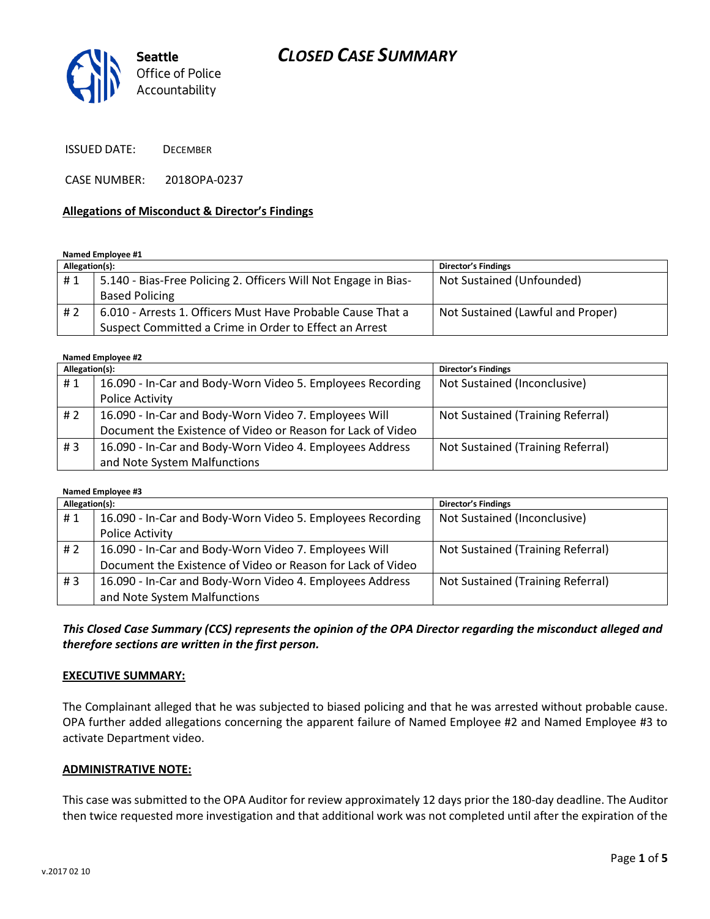# *CLOSED CASE SUMMARY*



ISSUED DATE: DECEMBER

CASE NUMBER: 2018OPA-0237

#### **Allegations of Misconduct & Director's Findings**

**Named Employee #1**

| Allegation(s): |                                                                 | <b>Director's Findings</b>        |
|----------------|-----------------------------------------------------------------|-----------------------------------|
| #1             | 5.140 - Bias-Free Policing 2. Officers Will Not Engage in Bias- | Not Sustained (Unfounded)         |
|                | <b>Based Policing</b>                                           |                                   |
| #2             | 6.010 - Arrests 1. Officers Must Have Probable Cause That a     | Not Sustained (Lawful and Proper) |
|                | Suspect Committed a Crime in Order to Effect an Arrest          |                                   |

**Named Employee #2**

| Allegation(s): |                                                             | <b>Director's Findings</b>        |  |
|----------------|-------------------------------------------------------------|-----------------------------------|--|
| #1             | 16.090 - In-Car and Body-Worn Video 5. Employees Recording  | Not Sustained (Inconclusive)      |  |
|                | Police Activity                                             |                                   |  |
| # 2            | 16.090 - In-Car and Body-Worn Video 7. Employees Will       | Not Sustained (Training Referral) |  |
|                | Document the Existence of Video or Reason for Lack of Video |                                   |  |
| # $3$          | 16.090 - In-Car and Body-Worn Video 4. Employees Address    | Not Sustained (Training Referral) |  |
|                | and Note System Malfunctions                                |                                   |  |

**Named Employee #3**

| Allegation(s): |                                                             | <b>Director's Findings</b>        |
|----------------|-------------------------------------------------------------|-----------------------------------|
| #1             | 16.090 - In-Car and Body-Worn Video 5. Employees Recording  | Not Sustained (Inconclusive)      |
|                | Police Activity                                             |                                   |
| # 2            | 16.090 - In-Car and Body-Worn Video 7. Employees Will       | Not Sustained (Training Referral) |
|                | Document the Existence of Video or Reason for Lack of Video |                                   |
| # $3$          | 16.090 - In-Car and Body-Worn Video 4. Employees Address    | Not Sustained (Training Referral) |
|                | and Note System Malfunctions                                |                                   |

*This Closed Case Summary (CCS) represents the opinion of the OPA Director regarding the misconduct alleged and therefore sections are written in the first person.* 

#### **EXECUTIVE SUMMARY:**

The Complainant alleged that he was subjected to biased policing and that he was arrested without probable cause. OPA further added allegations concerning the apparent failure of Named Employee #2 and Named Employee #3 to activate Department video.

#### **ADMINISTRATIVE NOTE:**

This case was submitted to the OPA Auditor for review approximately 12 days prior the 180-day deadline. The Auditor then twice requested more investigation and that additional work was not completed until after the expiration of the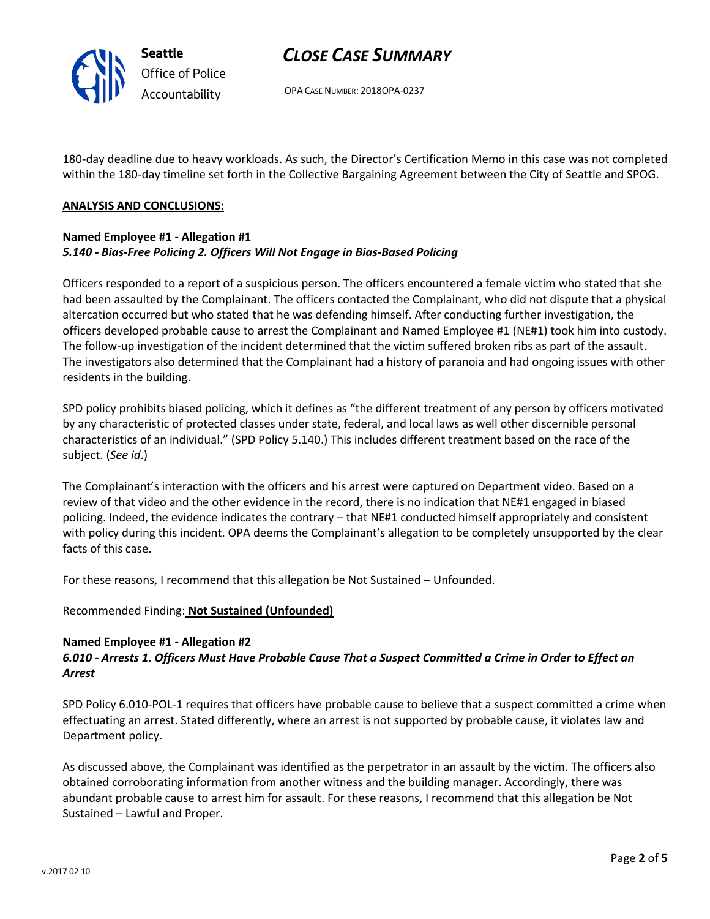

# *CLOSE CASE SUMMARY*

OPA CASE NUMBER: 2018OPA-0237

180-day deadline due to heavy workloads. As such, the Director's Certification Memo in this case was not completed within the 180-day timeline set forth in the Collective Bargaining Agreement between the City of Seattle and SPOG.

#### **ANALYSIS AND CONCLUSIONS:**

### **Named Employee #1 - Allegation #1** *5.140 - Bias-Free Policing 2. Officers Will Not Engage in Bias-Based Policing*

Officers responded to a report of a suspicious person. The officers encountered a female victim who stated that she had been assaulted by the Complainant. The officers contacted the Complainant, who did not dispute that a physical altercation occurred but who stated that he was defending himself. After conducting further investigation, the officers developed probable cause to arrest the Complainant and Named Employee #1 (NE#1) took him into custody. The follow-up investigation of the incident determined that the victim suffered broken ribs as part of the assault. The investigators also determined that the Complainant had a history of paranoia and had ongoing issues with other residents in the building.

SPD policy prohibits biased policing, which it defines as "the different treatment of any person by officers motivated by any characteristic of protected classes under state, federal, and local laws as well other discernible personal characteristics of an individual." (SPD Policy 5.140.) This includes different treatment based on the race of the subject. (*See id*.)

The Complainant's interaction with the officers and his arrest were captured on Department video. Based on a review of that video and the other evidence in the record, there is no indication that NE#1 engaged in biased policing. Indeed, the evidence indicates the contrary – that NE#1 conducted himself appropriately and consistent with policy during this incident. OPA deems the Complainant's allegation to be completely unsupported by the clear facts of this case.

For these reasons, I recommend that this allegation be Not Sustained – Unfounded.

Recommended Finding: **Not Sustained (Unfounded)**

#### **Named Employee #1 - Allegation #2**

### *6.010 - Arrests 1. Officers Must Have Probable Cause That a Suspect Committed a Crime in Order to Effect an Arrest*

SPD Policy 6.010-POL-1 requires that officers have probable cause to believe that a suspect committed a crime when effectuating an arrest. Stated differently, where an arrest is not supported by probable cause, it violates law and Department policy.

As discussed above, the Complainant was identified as the perpetrator in an assault by the victim. The officers also obtained corroborating information from another witness and the building manager. Accordingly, there was abundant probable cause to arrest him for assault. For these reasons, I recommend that this allegation be Not Sustained – Lawful and Proper.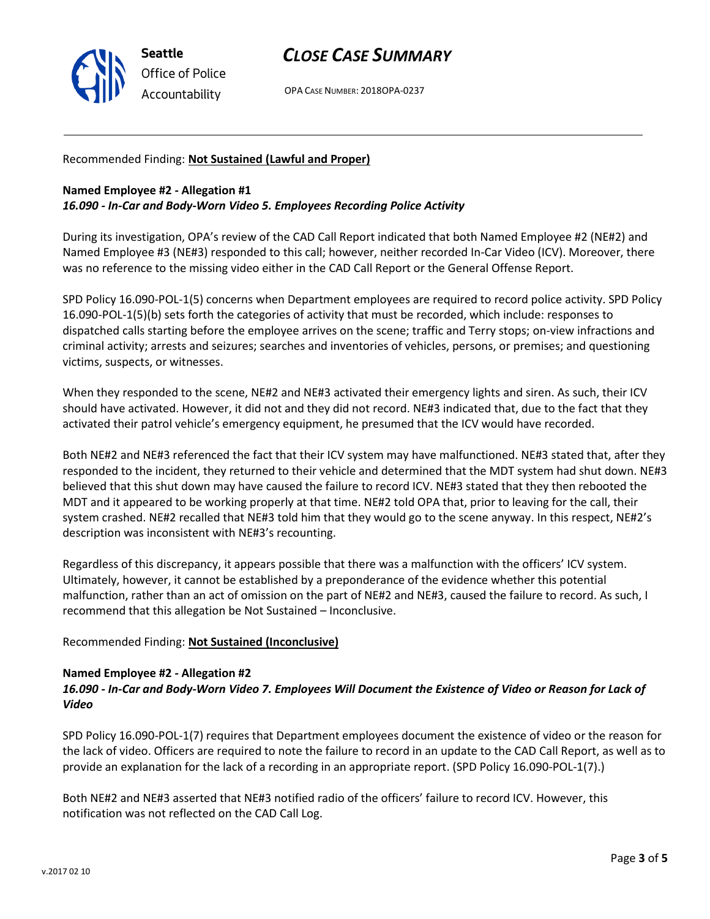

# *CLOSE CASE SUMMARY*

OPA CASE NUMBER: 2018OPA-0237

#### Recommended Finding: **Not Sustained (Lawful and Proper)**

#### **Named Employee #2 - Allegation #1** *16.090 - In-Car and Body-Worn Video 5. Employees Recording Police Activity*

During its investigation, OPA's review of the CAD Call Report indicated that both Named Employee #2 (NE#2) and Named Employee #3 (NE#3) responded to this call; however, neither recorded In-Car Video (ICV). Moreover, there was no reference to the missing video either in the CAD Call Report or the General Offense Report.

SPD Policy 16.090-POL-1(5) concerns when Department employees are required to record police activity. SPD Policy 16.090-POL-1(5)(b) sets forth the categories of activity that must be recorded, which include: responses to dispatched calls starting before the employee arrives on the scene; traffic and Terry stops; on-view infractions and criminal activity; arrests and seizures; searches and inventories of vehicles, persons, or premises; and questioning victims, suspects, or witnesses.

When they responded to the scene, NE#2 and NE#3 activated their emergency lights and siren. As such, their ICV should have activated. However, it did not and they did not record. NE#3 indicated that, due to the fact that they activated their patrol vehicle's emergency equipment, he presumed that the ICV would have recorded.

Both NE#2 and NE#3 referenced the fact that their ICV system may have malfunctioned. NE#3 stated that, after they responded to the incident, they returned to their vehicle and determined that the MDT system had shut down. NE#3 believed that this shut down may have caused the failure to record ICV. NE#3 stated that they then rebooted the MDT and it appeared to be working properly at that time. NE#2 told OPA that, prior to leaving for the call, their system crashed. NE#2 recalled that NE#3 told him that they would go to the scene anyway. In this respect, NE#2's description was inconsistent with NE#3's recounting.

Regardless of this discrepancy, it appears possible that there was a malfunction with the officers' ICV system. Ultimately, however, it cannot be established by a preponderance of the evidence whether this potential malfunction, rather than an act of omission on the part of NE#2 and NE#3, caused the failure to record. As such, I recommend that this allegation be Not Sustained – Inconclusive.

#### Recommended Finding: **Not Sustained (Inconclusive)**

#### **Named Employee #2 - Allegation #2**

### *16.090 - In-Car and Body-Worn Video 7. Employees Will Document the Existence of Video or Reason for Lack of Video*

SPD Policy 16.090-POL-1(7) requires that Department employees document the existence of video or the reason for the lack of video. Officers are required to note the failure to record in an update to the CAD Call Report, as well as to provide an explanation for the lack of a recording in an appropriate report. (SPD Policy 16.090-POL-1(7).)

Both NE#2 and NE#3 asserted that NE#3 notified radio of the officers' failure to record ICV. However, this notification was not reflected on the CAD Call Log.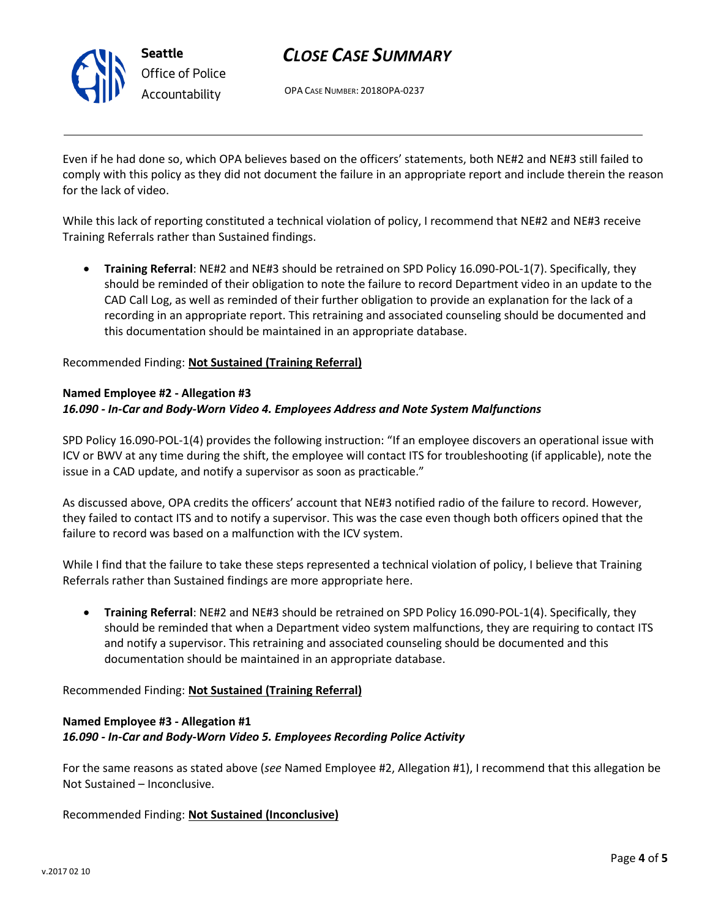

# *CLOSE CASE SUMMARY*

OPA CASE NUMBER: 2018OPA-0237

Even if he had done so, which OPA believes based on the officers' statements, both NE#2 and NE#3 still failed to comply with this policy as they did not document the failure in an appropriate report and include therein the reason for the lack of video.

While this lack of reporting constituted a technical violation of policy, I recommend that NE#2 and NE#3 receive Training Referrals rather than Sustained findings.

• **Training Referral**: NE#2 and NE#3 should be retrained on SPD Policy 16.090-POL-1(7). Specifically, they should be reminded of their obligation to note the failure to record Department video in an update to the CAD Call Log, as well as reminded of their further obligation to provide an explanation for the lack of a recording in an appropriate report. This retraining and associated counseling should be documented and this documentation should be maintained in an appropriate database.

#### Recommended Finding: **Not Sustained (Training Referral)**

#### **Named Employee #2 - Allegation #3** *16.090 - In-Car and Body-Worn Video 4. Employees Address and Note System Malfunctions*

SPD Policy 16.090-POL-1(4) provides the following instruction: "If an employee discovers an operational issue with ICV or BWV at any time during the shift, the employee will contact ITS for troubleshooting (if applicable), note the issue in a CAD update, and notify a supervisor as soon as practicable."

As discussed above, OPA credits the officers' account that NE#3 notified radio of the failure to record. However, they failed to contact ITS and to notify a supervisor. This was the case even though both officers opined that the failure to record was based on a malfunction with the ICV system.

While I find that the failure to take these steps represented a technical violation of policy, I believe that Training Referrals rather than Sustained findings are more appropriate here.

• **Training Referral**: NE#2 and NE#3 should be retrained on SPD Policy 16.090-POL-1(4). Specifically, they should be reminded that when a Department video system malfunctions, they are requiring to contact ITS and notify a supervisor. This retraining and associated counseling should be documented and this documentation should be maintained in an appropriate database.

#### Recommended Finding: **Not Sustained (Training Referral)**

### **Named Employee #3 - Allegation #1** *16.090 - In-Car and Body-Worn Video 5. Employees Recording Police Activity*

For the same reasons as stated above (*see* Named Employee #2, Allegation #1), I recommend that this allegation be Not Sustained – Inconclusive.

Recommended Finding: **Not Sustained (Inconclusive)**